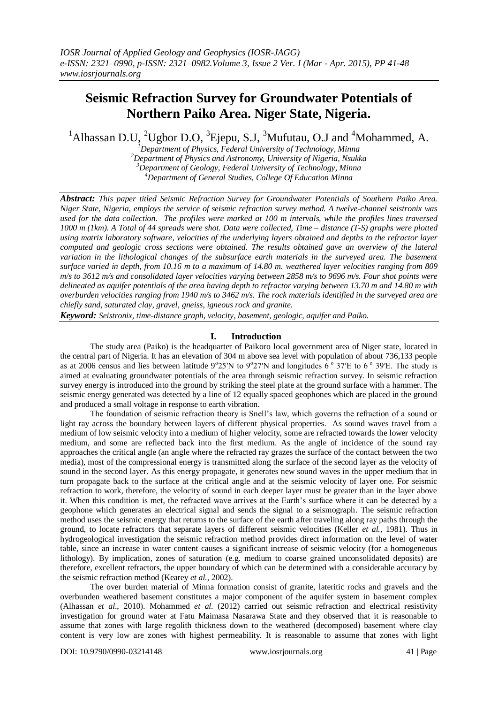# **Seismic Refraction Survey for Groundwater Potentials of Northern Paiko Area. Niger State, Nigeria.**

<sup>1</sup>Alhassan D.U, <sup>2</sup>Ugbor D.O, <sup>3</sup>Ejepu, S.J, <sup>3</sup>Mufutau, O.J and <sup>4</sup>Mohammed, A.

*Department of Physics, Federal University of Technology, Minna Department of Physics and Astronomy, University of Nigeria, Nsukka Department of Geology, Federal University of Technology, Minna Department of General Studies, College Of Education Minna*

*Abstract: This paper titled Seismic Refraction Survey for Groundwater Potentials of Southern Paiko Area. Niger State, Nigeria, employs the service of seismic refraction survey method. A twelve-channel seistronix was used for the data collection. The profiles were marked at 100 m intervals, while the profiles lines traversed 1000 m (1km). A Total of 44 spreads were shot. Data were collected, Time – distance (T-S) graphs were plotted using matrix laboratory software, velocities of the underlying layers obtained and depths to the refractor layer computed and geologic cross sections were obtained. The results obtained gave an overview of the lateral variation in the lithological changes of the subsurface earth materials in the surveyed area. The basement surface varied in depth, from 10.16 m to a maximum of 14.80 m. weathered layer velocities ranging from 809 m/s to 3612 m/s and consolidated layer velocities varying between 2858 m/s to 9696 m/s. Four shot points were delineated as aquifer potentials of the area having depth to refractor varying between 13.70 m and 14.80 m with overburden velocities ranging from 1940 m/s to 3462 m/s. The rock materials identified in the surveyed area are chiefly sand, saturated clay, gravel, gneiss, igneous rock and granite.*

*Keyword: Seistronix, time-distance graph, velocity, basement, geologic, aquifer and Paiko.*

## **I. Introduction**

The study area (Paiko) is the headquarter of Paikoro local government area of Niger state, located in the central part of Nigeria. It has an elevation of 304 m above sea level with population of about 736,133 people as at 2006 census and lies between latitude  $9^{\circ}25'N$  to  $9^{\circ}27'N$  and longitudes 6<sup>°</sup> 37′E to 6<sup>°</sup> 39′E. The study is aimed at evaluating groundwater potentials of the area through seismic refraction survey. In seismic refraction survey energy is introduced into the ground by striking the steel plate at the ground surface with a hammer. The seismic energy generated was detected by a line of 12 equally spaced geophones which are placed in the ground and produced a small voltage in response to earth vibration.

The foundation of seismic refraction theory is Snell's law, which governs the refraction of a sound or light ray across the boundary between layers of different physical properties. As sound waves travel from a medium of low seismic velocity into a medium of higher velocity, some are refracted towards the lower velocity medium, and some are reflected back into the first medium. As the angle of incidence of the sound ray approaches the critical angle (an angle where the refracted ray grazes the surface of the contact between the two media), most of the compressional energy is transmitted along the surface of the second layer as the velocity of sound in the second layer. As this energy propagate, it generates new sound waves in the upper medium that in turn propagate back to the surface at the critical angle and at the seismic velocity of layer one. For seismic refraction to work, therefore, the velocity of sound in each deeper layer must be greater than in the layer above it. When this condition is met, the refracted wave arrives at the Earth's surface where it can be detected by a geophone which generates an electrical signal and sends the signal to a seismograph. The seismic refraction method uses the seismic energy that returns to the surface of the earth after traveling along ray paths through the ground, to locate refractors that separate layers of different seismic velocities (Keller *et al.,* 1981). Thus in hydrogeological investigation the seismic refraction method provides direct information on the level of water table, since an increase in water content causes a significant increase of seismic velocity (for a homogeneous lithology). By implication, zones of saturation (e.g. medium to coarse grained unconsolidated deposits) are therefore, excellent refractors, the upper boundary of which can be determined with a considerable accuracy by the seismic refraction method (Kearey *et al.,* 2002).

The over burden material of Minna formation consist of granite, lateritic rocks and gravels and the overbunden weathered basement constitutes a major component of the aquifer system in basement complex (Alhassan *et al*., 2010). Mohammed *et al*. (2012) carried out seismic refraction and electrical resistivity investigation for ground water at Fatu Maimasa Nasarawa State and they observed that it is reasonable to assume that zones with large regolith thickness down to the weathered (decomposed) basement where clay content is very low are zones with highest permeability. It is reasonable to assume that zones with light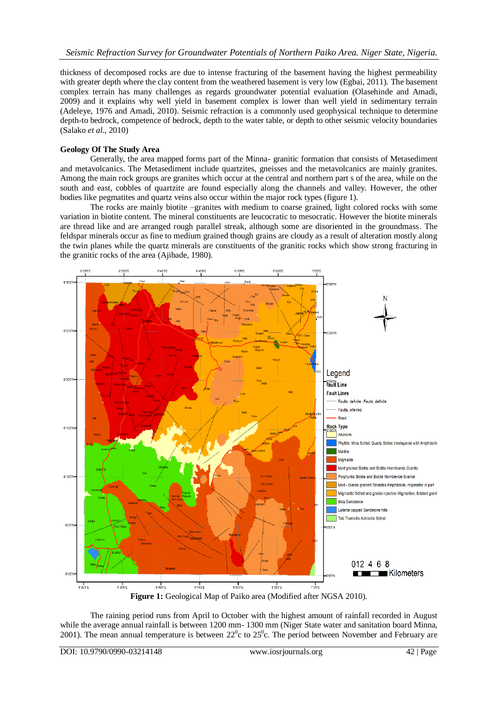thickness of decomposed rocks are due to intense fracturing of the basement having the highest permeability with greater depth where the clay content from the weathered basement is very low (Egbai, 2011). The basement complex terrain has many challenges as regards groundwater potential evaluation (Olasehinde and Amadi, 2009) and it explains why well yield in basement complex is lower than well yield in sedimentary terrain (Adeleye, 1976 and Amadi, 2010). Seismic refraction is a commonly used geophysical technique to determine depth-to bedrock, competence of bedrock, depth to the water table, or depth to other seismic velocity boundaries (Salako *et al*., 2010)

#### **Geology Of The Study Area**

Generally, the area mapped forms part of the Minna- granitic formation that consists of Metasediment and metavolcanics. The Metasediment include quartzites, gneisses and the metavolcanics are mainly granites. Among the main rock groups are granites which occur at the central and northern part s of the area, while on the south and east, cobbles of quartzite are found especially along the channels and valley. However, the other bodies like pegmatites and quartz veins also occur within the major rock types (figure 1).

The rocks are mainly biotite –granites with medium to coarse grained, light colored rocks with some variation in biotite content. The mineral constituents are leucocratic to mesocratic. However the biotite minerals are thread like and are arranged rough parallel streak, although some are disoriented in the groundmass. The feldspar minerals occur as fine to medium grained though grains are cloudy as a result of alteration mostly along the twin planes while the quartz minerals are constituents of the granitic rocks which show strong fracturing in the granitic rocks of the area (Ajibade, 1980).



**Figure 1:** Geological Map of Paiko area (Modified after NGSA 2010).

The raining period runs from April to October with the highest amount of rainfall recorded in August while the average annual rainfall is between 1200 mm- 1300 mm (Niger State water and sanitation board Minna, 2001). The mean annual temperature is between  $22^{\circ}$ c to  $25^{\circ}$ c. The period between November and February are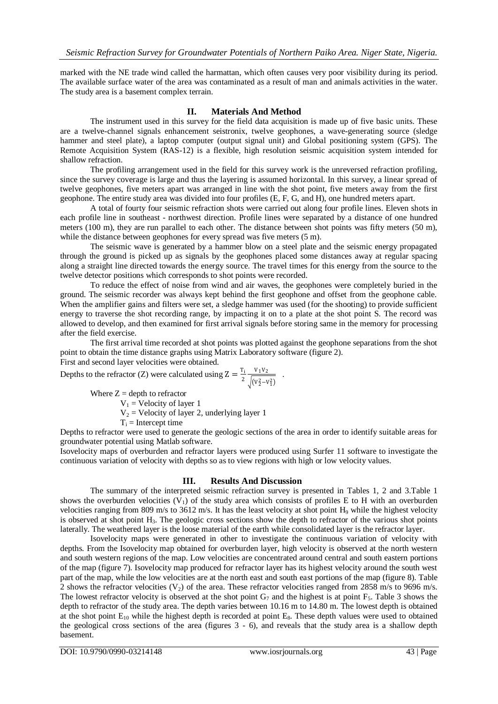marked with the NE trade wind called the harmattan, which often causes very poor visibility during its period. The available surface water of the area was contaminated as a result of man and animals activities in the water. The study area is a basement complex terrain.

### **II. Materials And Method**

The instrument used in this survey for the field data acquisition is made up of five basic units. These are a twelve-channel signals enhancement seistronix, twelve geophones, a wave-generating source (sledge hammer and steel plate), a laptop computer (output signal unit) and Global positioning system (GPS). The Remote Acquisition System (RAS-12) is a flexible, high resolution seismic acquisition system intended for shallow refraction.

The profiling arrangement used in the field for this survey work is the unreversed refraction profiling, since the survey coverage is large and thus the layering is assumed horizontal. In this survey, a linear spread of twelve geophones, five meters apart was arranged in line with the shot point, five meters away from the first geophone. The entire study area was divided into four profiles (E, F, G, and H), one hundred meters apart.

A total of fourty four seismic refraction shots were carried out along four profile lines. Eleven shots in each profile line in southeast - northwest direction. Profile lines were separated by a distance of one hundred meters (100 m), they are run parallel to each other. The distance between shot points was fifty meters (50 m), while the distance between geophones for every spread was five meters  $(5 \text{ m})$ .

The seismic wave is generated by a hammer blow on a steel plate and the seismic energy propagated through the ground is picked up as signals by the geophones placed some distances away at regular spacing along a straight line directed towards the energy source. The travel times for this energy from the source to the twelve detector positions which corresponds to shot points were recorded.

To reduce the effect of noise from wind and air waves, the geophones were completely buried in the ground. The seismic recorder was always kept behind the first geophone and offset from the geophone cable. When the amplifier gains and filters were set, a sledge hammer was used (for the shooting) to provide sufficient energy to traverse the shot recording range, by impacting it on to a plate at the shot point S. The record was allowed to develop, and then examined for first arrival signals before storing same in the memory for processing after the field exercise.

The first arrival time recorded at shot points was plotted against the geophone separations from the shot point to obtain the time distance graphs using Matrix Laboratory software (figure 2).

First and second layer velocities were obtained.

Depths to the refractor (Z) were calculated using  $Z = \frac{T_i}{2}$ 2  $V_1V_2$  $\sqrt{(v_2^2 - v_1^2)}$ .

Where  $Z =$  depth to refractor

 $V_1$  = Velocity of layer 1

 $V_2$  = Velocity of layer 2, underlying layer 1

 $T_i$  = Intercept time

Depths to refractor were used to generate the geologic sections of the area in order to identify suitable areas for groundwater potential using Matlab software.

Isovelocity maps of overburden and refractor layers were produced using Surfer 11 software to investigate the continuous variation of velocity with depths so as to view regions with high or low velocity values.

### **III. Results And Discussion**

The summary of the interpreted seismic refraction survey is presented in Tables 1, 2 and 3.Table 1 shows the overburden velocities  $(V_1)$  of the study area which consists of profiles E to H with an overburden velocities ranging from 809 m/s to  $3612$  m/s. It has the least velocity at shot point  $H<sub>9</sub>$  while the highest velocity is observed at shot point  $H_3$ . The geologic cross sections show the depth to refractor of the various shot points laterally. The weathered layer is the loose material of the earth while consolidated layer is the refractor layer.

Isovelocity maps were generated in other to investigate the continuous variation of velocity with depths. From the Isovelocity map obtained for overburden layer, high velocity is observed at the north western and south western regions of the map. Low velocities are concentrated around central and south eastern portions of the map (figure 7). Isovelocity map produced for refractor layer has its highest velocity around the south west part of the map, while the low velocities are at the north east and south east portions of the map (figure 8). Table 2 shows the refractor velocities (V<sub>2</sub>) of the area. These refractor velocities ranged from 2858 m/s to 9696 m/s. The lowest refractor velocity is observed at the shot point  $G_7$  and the highest is at point  $F_5$ . Table 3 shows the depth to refractor of the study area. The depth varies between 10.16 m to 14.80 m. The lowest depth is obtained at the shot point  $E_{10}$  while the highest depth is recorded at point  $E_8$ . These depth values were used to obtained the geological cross sections of the area (figures 3 - 6), and reveals that the study area is a shallow depth basement.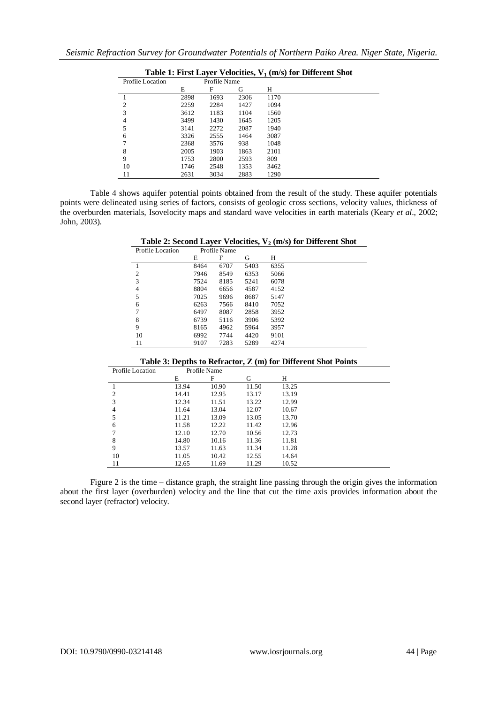| <b>Table 1: First Layer Velocities, V<sub>1</sub> (m/s) for Different Shot</b> |              |      |      |      |  |  |
|--------------------------------------------------------------------------------|--------------|------|------|------|--|--|
| <b>Profile Location</b>                                                        | Profile Name |      |      |      |  |  |
|                                                                                | E            | F    | G    | Н    |  |  |
|                                                                                | 2898         | 1693 | 2306 | 1170 |  |  |
| $\overline{c}$                                                                 | 2259         | 2284 | 1427 | 1094 |  |  |
| 3                                                                              | 3612         | 1183 | 1104 | 1560 |  |  |
| 4                                                                              | 3499         | 1430 | 1645 | 1205 |  |  |
| 5                                                                              | 3141         | 2272 | 2087 | 1940 |  |  |
| 6                                                                              | 3326         | 2555 | 1464 | 3087 |  |  |
|                                                                                | 2368         | 3576 | 938  | 1048 |  |  |
| 8                                                                              | 2005         | 1903 | 1863 | 2101 |  |  |
| 9                                                                              | 1753         | 2800 | 2593 | 809  |  |  |
| 10                                                                             | 1746         | 2548 | 1353 | 3462 |  |  |
| 11                                                                             | 2631         | 3034 | 2883 | 1290 |  |  |

**Table 1: First Layer Velocities, V<sup>1</sup> (m/s) for Different Shot**

Table 4 shows aquifer potential points obtained from the result of the study. These aquifer potentials points were delineated using series of factors, consists of geologic cross sections, velocity values, thickness of the overburden materials, Isovelocity maps and standard wave velocities in earth materials (Keary *et al*., 2002; John, 2003).

| Profile Location | Profile Name |      |      |      |
|------------------|--------------|------|------|------|
|                  | E            | F    | G    | Н    |
|                  | 8464         | 6707 | 5403 | 6355 |
| $\overline{c}$   | 7946         | 8549 | 6353 | 5066 |
| 3                | 7524         | 8185 | 5241 | 6078 |
| 4                | 8804         | 6656 | 4587 | 4152 |
| 5                | 7025         | 9696 | 8687 | 5147 |
| 6                | 6263         | 7566 | 8410 | 7052 |
|                  | 6497         | 8087 | 2858 | 3952 |
| 8                | 6739         | 5116 | 3906 | 5392 |

**Table 2: Second Layer Velocities, V<sup>2</sup> (m/s) for Different Shot**

9 8165 4962 5964 3957<br>10 6992 7744 4420 9101 6992 7744 4420 9101 9107 7283 5289 4274

| <b>Profile Location</b> | Profile Name |       |       |       |  |
|-------------------------|--------------|-------|-------|-------|--|
|                         | E            | F     | G     | Н     |  |
|                         | 13.94        | 10.90 | 11.50 | 13.25 |  |
| $\overline{2}$          | 14.41        | 12.95 | 13.17 | 13.19 |  |
| 3                       | 12.34        | 11.51 | 13.22 | 12.99 |  |
| 4                       | 11.64        | 13.04 | 12.07 | 10.67 |  |
| 5                       | 11.21        | 13.09 | 13.05 | 13.70 |  |
| 6                       | 11.58        | 12.22 | 11.42 | 12.96 |  |
|                         | 12.10        | 12.70 | 10.56 | 12.73 |  |
| 8                       | 14.80        | 10.16 | 11.36 | 11.81 |  |
| 9                       | 13.57        | 11.63 | 11.34 | 11.28 |  |
| 10                      | 11.05        | 10.42 | 12.55 | 14.64 |  |
| 11                      | 12.65        | 11.69 | 11.29 | 10.52 |  |

Figure 2 is the time – distance graph, the straight line passing through the origin gives the information about the first layer (overburden) velocity and the line that cut the time axis provides information about the second layer (refractor) velocity.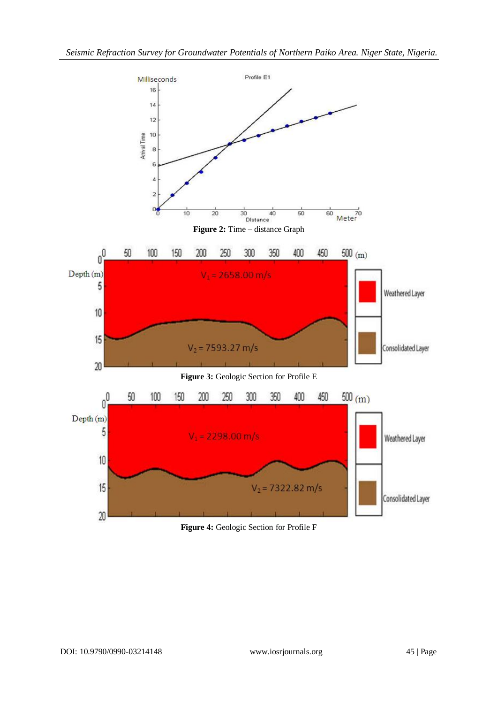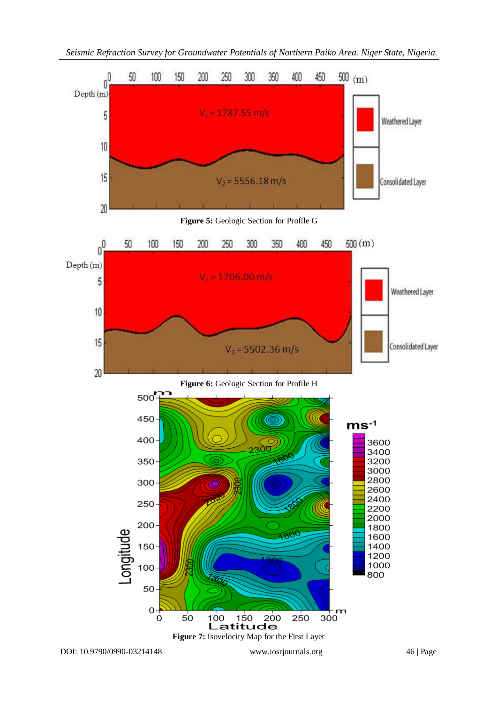

DOI: 10.9790/0990-03214148 www.iosrjournals.org 46 | Page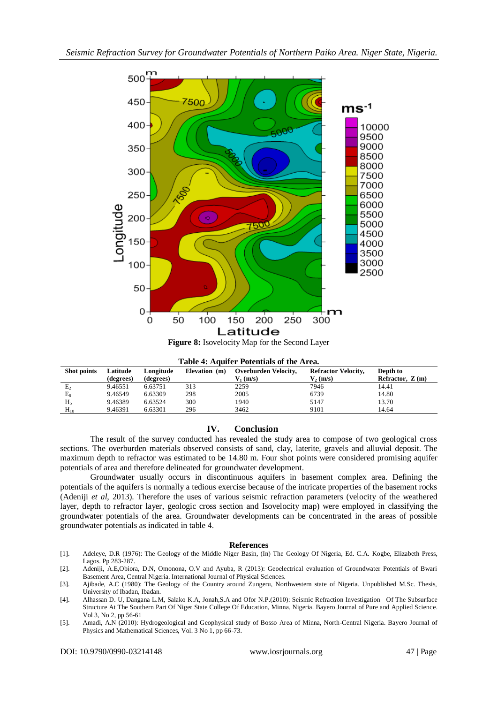

| Table 4: Aquifer Potentials of the Area. |  |  |
|------------------------------------------|--|--|
|------------------------------------------|--|--|

| Shot points | Latitude  | Longitude | Elevation (m) | Overburden Velocity, | <b>Refractor Velocity,</b> | Depth to          |
|-------------|-----------|-----------|---------------|----------------------|----------------------------|-------------------|
|             | (degrees) | (degrees) |               | $V_1$ (m/s)          | $V_2$ (m/s)                | Refractor, $Z(m)$ |
| $E_{2}$     | 9.46551   | 6.63751   | 313           | 2259                 | 7946                       | 14.41             |
| Eg          | 9.46549   | 6.63309   | 298           | 2005                 | 6739                       | 14.80             |
| H،          | 9.46389   | 6.63524   | 300           | 1940                 | 5147                       | 13.70             |
| $H_{10}$    | 9.46391   | 6.63301   | 296           | 3462                 | 9101                       | 14.64             |

#### **IV. Conclusion**

The result of the survey conducted has revealed the study area to compose of two geological cross sections. The overburden materials observed consists of sand, clay, laterite, gravels and alluvial deposit. The maximum depth to refractor was estimated to be 14.80 m. Four shot points were considered promising aquifer potentials of area and therefore delineated for groundwater development.

Groundwater usually occurs in discontinuous aquifers in basement complex area. Defining the potentials of the aquifers is normally a tedious exercise because of the intricate properties of the basement rocks (Adeniji *et al*, 2013). Therefore the uses of various seismic refraction parameters (velocity of the weathered layer, depth to refractor layer, geologic cross section and Isovelocity map) were employed in classifying the groundwater potentials of the area. Groundwater developments can be concentrated in the areas of possible groundwater potentials as indicated in table 4.

#### **References**

- [1]. Adeleye, D.R (1976): The Geology of the Middle Niger Basin, (In) The Geology Of Nigeria, Ed. C.A. Kogbe, Elizabeth Press, Lagos. Pp 283-287.
- [2]. Adeniji, A.E,Obiora, D.N, Omonona, O.V and Ayuba, R (2013): Geoelectrical evaluation of Groundwater Potentials of Bwari Basement Area, Central Nigeria. International Journal of Physical Sciences.
- [3]. Ajibade, A.C (1980): The Geology of the Country around Zungeru, Northwestern state of Nigeria. Unpublished M.Sc. Thesis, University of Ibadan, Ibadan.
- [4]. Alhassan D. U, Dangana L.M, Salako K.A, Jonah,S.A and Ofor N.P.(2010): Seismic Refraction Investigation Of The Subsurface Structure At The Southern Part Of Niger State College Of Education, Minna, Nigeria. Bayero Journal of Pure and Applied Science. Vol 3, No 2, pp 56-61
- [5]. Amadi, A.N (2010): Hydrogeological and Geophysical study of Bosso Area of Minna, North-Central Nigeria. Bayero Journal of Physics and Mathematical Sciences, Vol. 3 No 1, pp 66-73.